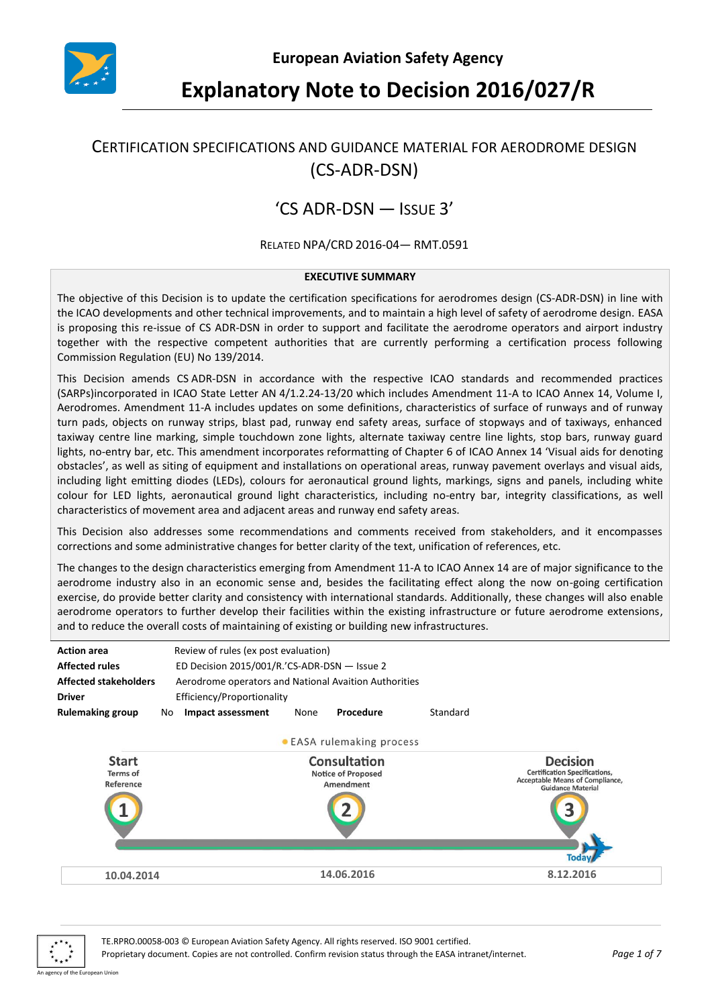

# **Explanatory Note to Decision 2016/027/R**

## CERTIFICATION SPECIFICATIONS AND GUIDANCE MATERIAL FOR AERODROME DESIGN (CS-ADR-DSN)

## 'CS ADR-DSN — ISSUE 3'

#### RELATED NPA/CRD 2016-04— RMT.0591

#### **EXECUTIVE SUMMARY**

The objective of this Decision is to update the certification specifications for aerodromes design (CS-ADR-DSN) in line with the ICAO developments and other technical improvements, and to maintain a high level of safety of aerodrome design. EASA is proposing this re-issue of CS ADR-DSN in order to support and facilitate the aerodrome operators and airport industry together with the respective competent authorities that are currently performing a certification process following Commission Regulation (EU) No 139/2014.

This Decision amends CS ADR-DSN in accordance with the respective ICAO standards and recommended practices (SARPs)incorporated in ICAO State Letter AN 4/1.2.24-13/20 which includes Amendment 11-A to ICAO Annex 14, Volume I, Aerodromes. Amendment 11-A includes updates on some definitions, characteristics of surface of runways and of runway turn pads, objects on runway strips, blast pad, runway end safety areas, surface of stopways and of taxiways, enhanced taxiway centre line marking, simple touchdown zone lights, alternate taxiway centre line lights, stop bars, runway guard lights, no-entry bar, etc. This amendment incorporates reformatting of Chapter 6 of ICAO Annex 14 'Visual aids for denoting obstacles', as well as siting of equipment and installations on operational areas, runway pavement overlays and visual aids, including light emitting diodes (LEDs), colours for aeronautical ground lights, markings, signs and panels, including white colour for LED lights, aeronautical ground light characteristics, including no-entry bar, integrity classifications, as well characteristics of movement area and adjacent areas and runway end safety areas.

This Decision also addresses some recommendations and comments received from stakeholders, and it encompasses corrections and some administrative changes for better clarity of the text, unification of references, etc.

The changes to the design characteristics emerging from Amendment 11-A to ICAO Annex 14 are of major significance to the aerodrome industry also in an economic sense and, besides the facilitating effect along the now on-going certification exercise, do provide better clarity and consistency with international standards. Additionally, these changes will also enable aerodrome operators to further develop their facilities within the existing infrastructure or future aerodrome extensions, and to reduce the overall costs of maintaining of existing or building new infrastructures.





TE.RPRO.00058-003 © European Aviation Safety Agency. All rights reserved. ISO 9001 certified.

Proprietary document. Copies are not controlled. Confirm revision status through the EASA intranet/internet. *Page 1 of 7*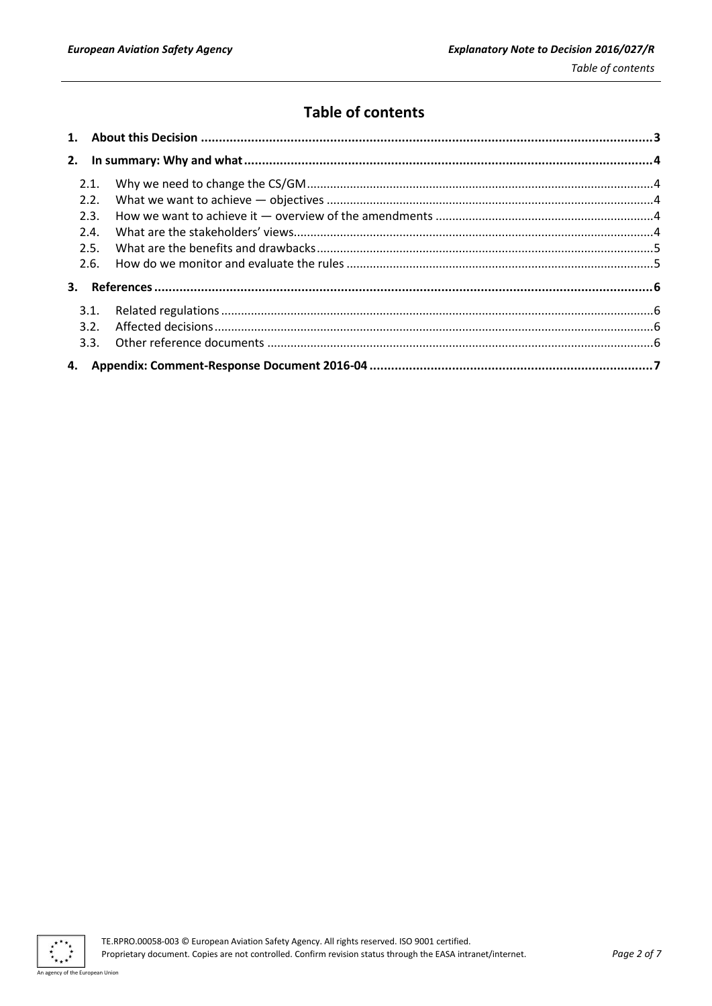## **Table of contents**

| 2.1. |  |  |
|------|--|--|
| 2.2. |  |  |
| 2.3. |  |  |
| 2.4. |  |  |
| 2.5. |  |  |
| 2.6. |  |  |
|      |  |  |
| 3.1. |  |  |
| 3.2. |  |  |
|      |  |  |
|      |  |  |

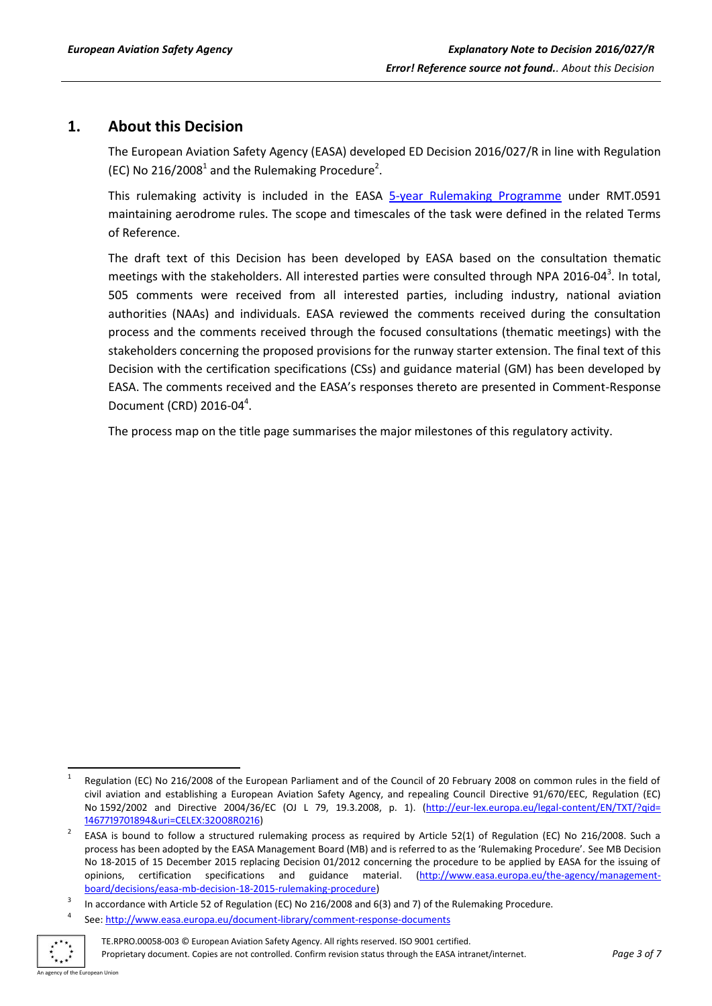## <span id="page-2-0"></span>**1. About this Decision**

The European Aviation Safety Agency (EASA) developed ED Decision 2016/027/R in line with Regulation (EC) No 216/2008<sup>1</sup> and the Rulemaking Procedure<sup>2</sup>.

This rulemaking activity is included in the EASA [5-year Rulemaking Programme](http://easa.europa.eu/rulemaking/annual-programme-and-planning.php) under RMT.0591 maintaining aerodrome rules. The scope and timescales of the task were defined in the related Terms of Reference.

The draft text of this Decision has been developed by EASA based on the consultation thematic meetings with the stakeholders. All interested parties were consulted through NPA 2016-04<sup>3</sup>. In total, 505 comments were received from all interested parties, including industry, national aviation authorities (NAAs) and individuals. EASA reviewed the comments received during the consultation process and the comments received through the focused consultations (thematic meetings) with the stakeholders concerning the proposed provisions for the runway starter extension. The final text of this Decision with the certification specifications (CSs) and guidance material (GM) has been developed by EASA. The comments received and the EASA's responses thereto are presented in Comment-Response Document (CRD) 2016-04<sup>4</sup>.

The process map on the title page summarises the major milestones of this regulatory activity.

<sup>4</sup> See[: http://www.easa.europa.eu/document-library/comment-response-documents](http://www.easa.europa.eu/document-library/comment-response-documents)



TE.RPRO.00058-003 © European Aviation Safety Agency. All rights reserved. ISO 9001 certified. Proprietary document. Copies are not controlled. Confirm revision status through the EASA intranet/internet. *Page 3 of 7*

 $\overline{a}$ 1 Regulation (EC) No 216/2008 of the European Parliament and of the Council of 20 February 2008 on common rules in the field of civil aviation and establishing a European Aviation Safety Agency, and repealing Council Directive 91/670/EEC, Regulation (EC) No 1592/2002 and Directive 2004/36/EC (OJ L 79, 19.3.2008, p. 1). (http://eur-lex.europa.eu/legal-[content/EN/TXT/?qid=](http://eur-lex.europa.eu/legal-content/EN/TXT/?qid=%201467719701894&uri=CELEX:32008R0216)  [1467719701894&uri=CELEX:32008R0216\)](http://eur-lex.europa.eu/legal-content/EN/TXT/?qid=%201467719701894&uri=CELEX:32008R0216)

<sup>2</sup> EASA is bound to follow a structured rulemaking process as required by Article 52(1) of Regulation (EC) No 216/2008. Such a process has been adopted by the EASA Management Board (MB) and is referred to as the 'Rulemaking Procedure'. See MB Decision No 18-2015 of 15 December 2015 replacing Decision 01/2012 concerning the procedure to be applied by EASA for the issuing of opinions, certification specifications and guidance material. [\(http://www.easa.europa.eu/the-agency/management](http://www.easa.europa.eu/the-agency/management-board/decisions/easa-mb-decision-18-2015-rulemaking-procedure)[board/decisions/easa-mb-decision-18-2015-rulemaking-procedure\)](http://www.easa.europa.eu/the-agency/management-board/decisions/easa-mb-decision-18-2015-rulemaking-procedure)

<sup>3</sup> In accordance with Article 52 of Regulation (EC) No 216/2008 and 6(3) and 7) of the Rulemaking Procedure.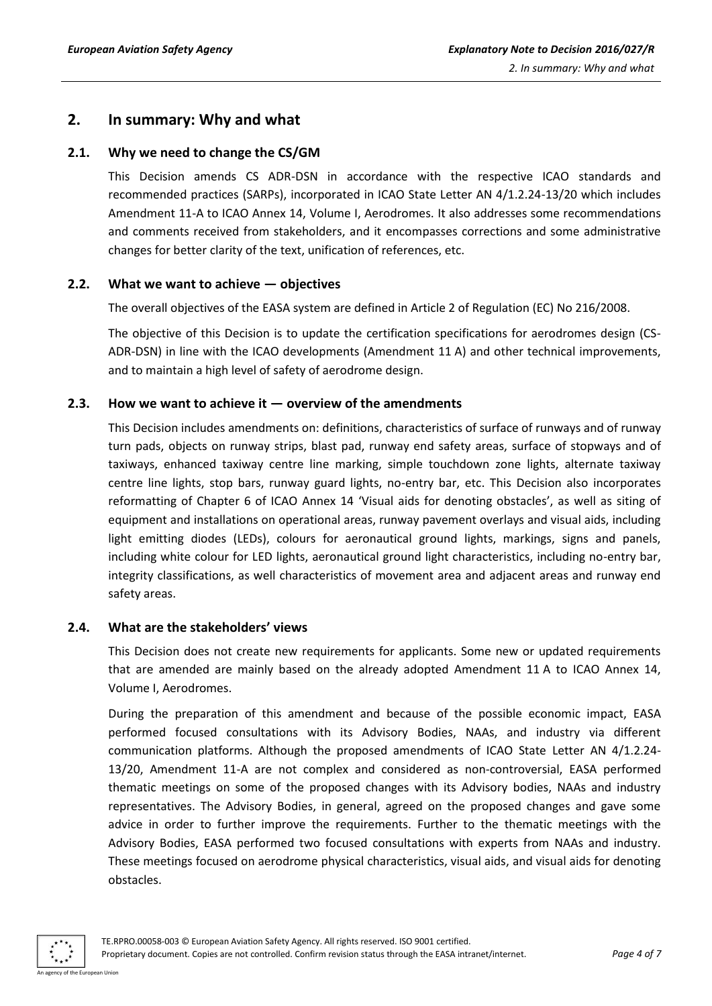## <span id="page-3-0"></span>**2. In summary: Why and what**

## <span id="page-3-1"></span>**2.1. Why we need to change the CS/GM**

This Decision amends CS ADR-DSN in accordance with the respective ICAO standards and recommended practices (SARPs), incorporated in ICAO State Letter AN 4/1.2.24-13/20 which includes Amendment 11-A to ICAO Annex 14, Volume I, Aerodromes. It also addresses some recommendations and comments received from stakeholders, and it encompasses corrections and some administrative changes for better clarity of the text, unification of references, etc.

### <span id="page-3-2"></span>**2.2. What we want to achieve — objectives**

The overall objectives of the EASA system are defined in Article 2 of Regulation (EC) No 216/2008.

The objective of this Decision is to update the certification specifications for aerodromes design (CS-ADR-DSN) in line with the ICAO developments (Amendment 11 A) and other technical improvements, and to maintain a high level of safety of aerodrome design.

## <span id="page-3-3"></span>**2.3. How we want to achieve it — overview of the amendments**

This Decision includes amendments on: definitions, characteristics of surface of runways and of runway turn pads, objects on runway strips, blast pad, runway end safety areas, surface of stopways and of taxiways, enhanced taxiway centre line marking, simple touchdown zone lights, alternate taxiway centre line lights, stop bars, runway guard lights, no-entry bar, etc. This Decision also incorporates reformatting of Chapter 6 of ICAO Annex 14 'Visual aids for denoting obstacles', as well as siting of equipment and installations on operational areas, runway pavement overlays and visual aids, including light emitting diodes (LEDs), colours for aeronautical ground lights, markings, signs and panels, including white colour for LED lights, aeronautical ground light characteristics, including no-entry bar, integrity classifications, as well characteristics of movement area and adjacent areas and runway end safety areas.

### <span id="page-3-4"></span>**2.4. What are the stakeholders' views**

This Decision does not create new requirements for applicants. Some new or updated requirements that are amended are mainly based on the already adopted Amendment 11 A to ICAO Annex 14, Volume I, Aerodromes.

During the preparation of this amendment and because of the possible economic impact, EASA performed focused consultations with its Advisory Bodies, NAAs, and industry via different communication platforms. Although the proposed amendments of ICAO State Letter AN 4/1.2.24- 13/20, Amendment 11-A are not complex and considered as non-controversial, EASA performed thematic meetings on some of the proposed changes with its Advisory bodies, NAAs and industry representatives. The Advisory Bodies, in general, agreed on the proposed changes and gave some advice in order to further improve the requirements. Further to the thematic meetings with the Advisory Bodies, EASA performed two focused consultations with experts from NAAs and industry. These meetings focused on aerodrome physical characteristics, visual aids, and visual aids for denoting obstacles.

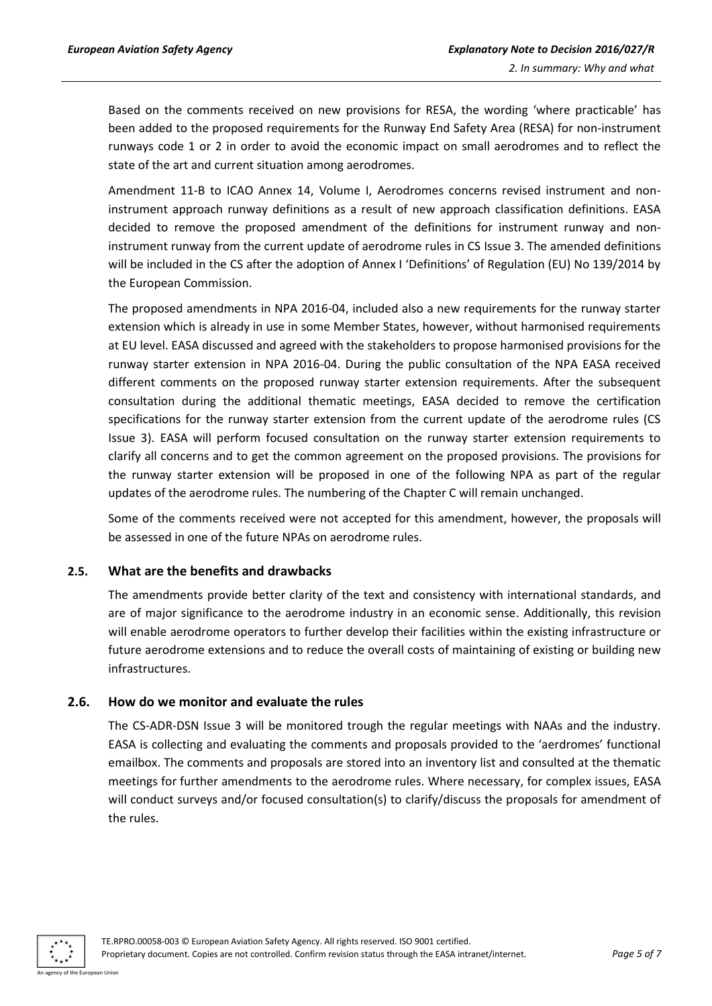Based on the comments received on new provisions for RESA, the wording 'where practicable' has been added to the proposed requirements for the Runway End Safety Area (RESA) for non-instrument runways code 1 or 2 in order to avoid the economic impact on small aerodromes and to reflect the state of the art and current situation among aerodromes.

Amendment 11-B to ICAO Annex 14, Volume I, Aerodromes concerns revised instrument and noninstrument approach runway definitions as a result of new approach classification definitions. EASA decided to remove the proposed amendment of the definitions for instrument runway and noninstrument runway from the current update of aerodrome rules in CS Issue 3. The amended definitions will be included in the CS after the adoption of Annex I 'Definitions' of Regulation (EU) No 139/2014 by the European Commission.

The proposed amendments in NPA 2016-04, included also a new requirements for the runway starter extension which is already in use in some Member States, however, without harmonised requirements at EU level. EASA discussed and agreed with the stakeholders to propose harmonised provisions for the runway starter extension in NPA 2016-04. During the public consultation of the NPA EASA received different comments on the proposed runway starter extension requirements. After the subsequent consultation during the additional thematic meetings, EASA decided to remove the certification specifications for the runway starter extension from the current update of the aerodrome rules (CS Issue 3). EASA will perform focused consultation on the runway starter extension requirements to clarify all concerns and to get the common agreement on the proposed provisions. The provisions for the runway starter extension will be proposed in one of the following NPA as part of the regular updates of the aerodrome rules. The numbering of the Chapter C will remain unchanged.

Some of the comments received were not accepted for this amendment, however, the proposals will be assessed in one of the future NPAs on aerodrome rules.

#### <span id="page-4-0"></span>**2.5. What are the benefits and drawbacks**

The amendments provide better clarity of the text and consistency with international standards, and are of major significance to the aerodrome industry in an economic sense. Additionally, this revision will enable aerodrome operators to further develop their facilities within the existing infrastructure or future aerodrome extensions and to reduce the overall costs of maintaining of existing or building new infrastructures.

#### <span id="page-4-1"></span>**2.6. How do we monitor and evaluate the rules**

The CS-ADR-DSN Issue 3 will be monitored trough the regular meetings with NAAs and the industry. EASA is collecting and evaluating the comments and proposals provided to the 'aerdromes' functional emailbox. The comments and proposals are stored into an inventory list and consulted at the thematic meetings for further amendments to the aerodrome rules. Where necessary, for complex issues, EASA will conduct surveys and/or focused consultation(s) to clarify/discuss the proposals for amendment of the rules.

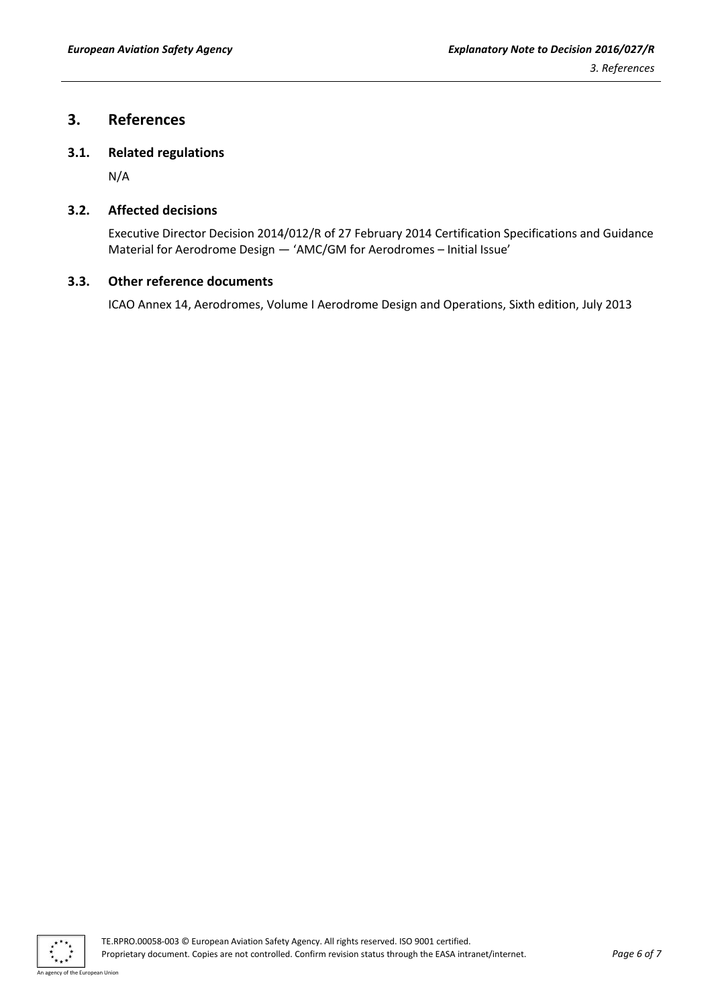## <span id="page-5-0"></span>**3. References**

### <span id="page-5-1"></span>**3.1. Related regulations**

N/A

### <span id="page-5-2"></span>**3.2. Affected decisions**

Executive Director Decision 2014/012/R of 27 February 2014 Certification Specifications and Guidance Material for Aerodrome Design — 'AMC/GM for Aerodromes – Initial Issue'

### <span id="page-5-3"></span>**3.3. Other reference documents**

ICAO Annex 14, Aerodromes, Volume I Aerodrome Design and Operations, Sixth edition, July 2013